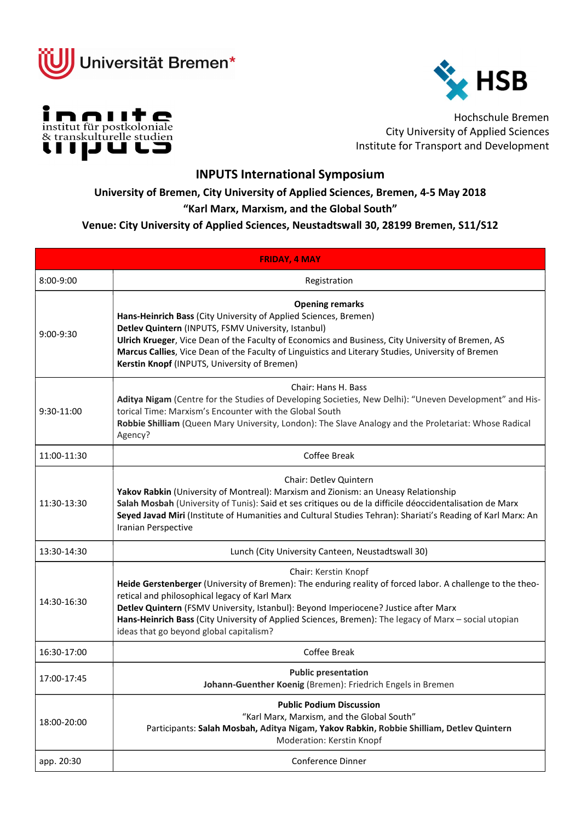





Hochschule Bremen City University of Applied Sciences Institute for Transport and Development

## INPUTS International Symposium

University of Bremen, City University of Applied Sciences, Bremen, 4-5 May 2018

## "Karl Marx, Marxism, and the Global South"

## Venue: City University of Applied Sciences, Neustadtswall 30, 28199 Bremen, S11/S12

| <b>FRIDAY, 4 MAY</b>                                                                                                                                                                                                                                                                                                                                                                                                           |  |
|--------------------------------------------------------------------------------------------------------------------------------------------------------------------------------------------------------------------------------------------------------------------------------------------------------------------------------------------------------------------------------------------------------------------------------|--|
| Registration                                                                                                                                                                                                                                                                                                                                                                                                                   |  |
| <b>Opening remarks</b><br>Hans-Heinrich Bass (City University of Applied Sciences, Bremen)<br>Detlev Quintern (INPUTS, FSMV University, Istanbul)<br>Ulrich Krueger, Vice Dean of the Faculty of Economics and Business, City University of Bremen, AS<br>Marcus Callies, Vice Dean of the Faculty of Linguistics and Literary Studies, University of Bremen<br>Kerstin Knopf (INPUTS, University of Bremen)                   |  |
| Chair: Hans H. Bass<br>Aditya Nigam (Centre for the Studies of Developing Societies, New Delhi): "Uneven Development" and His-<br>torical Time: Marxism's Encounter with the Global South<br>Robbie Shilliam (Queen Mary University, London): The Slave Analogy and the Proletariat: Whose Radical<br>Agency?                                                                                                                  |  |
| Coffee Break                                                                                                                                                                                                                                                                                                                                                                                                                   |  |
| <b>Chair: Detley Quintern</b><br>Yakov Rabkin (University of Montreal): Marxism and Zionism: an Uneasy Relationship<br>Salah Mosbah (University of Tunis): Said et ses critiques ou de la difficile déoccidentalisation de Marx<br>Seyed Javad Miri (Institute of Humanities and Cultural Studies Tehran): Shariati's Reading of Karl Marx: An<br>Iranian Perspective                                                          |  |
| Lunch (City University Canteen, Neustadtswall 30)                                                                                                                                                                                                                                                                                                                                                                              |  |
| Chair: Kerstin Knopf<br>Heide Gerstenberger (University of Bremen): The enduring reality of forced labor. A challenge to the theo-<br>retical and philosophical legacy of Karl Marx<br>Detlev Quintern (FSMV University, Istanbul): Beyond Imperiocene? Justice after Marx<br>Hans-Heinrich Bass (City University of Applied Sciences, Bremen): The legacy of Marx - social utopian<br>ideas that go beyond global capitalism? |  |
| Coffee Break                                                                                                                                                                                                                                                                                                                                                                                                                   |  |
| <b>Public presentation</b><br>Johann-Guenther Koenig (Bremen): Friedrich Engels in Bremen                                                                                                                                                                                                                                                                                                                                      |  |
| <b>Public Podium Discussion</b><br>"Karl Marx, Marxism, and the Global South"<br>Participants: Salah Mosbah, Aditya Nigam, Yakov Rabkin, Robbie Shilliam, Detlev Quintern<br>Moderation: Kerstin Knopf                                                                                                                                                                                                                         |  |
| Conference Dinner                                                                                                                                                                                                                                                                                                                                                                                                              |  |
|                                                                                                                                                                                                                                                                                                                                                                                                                                |  |